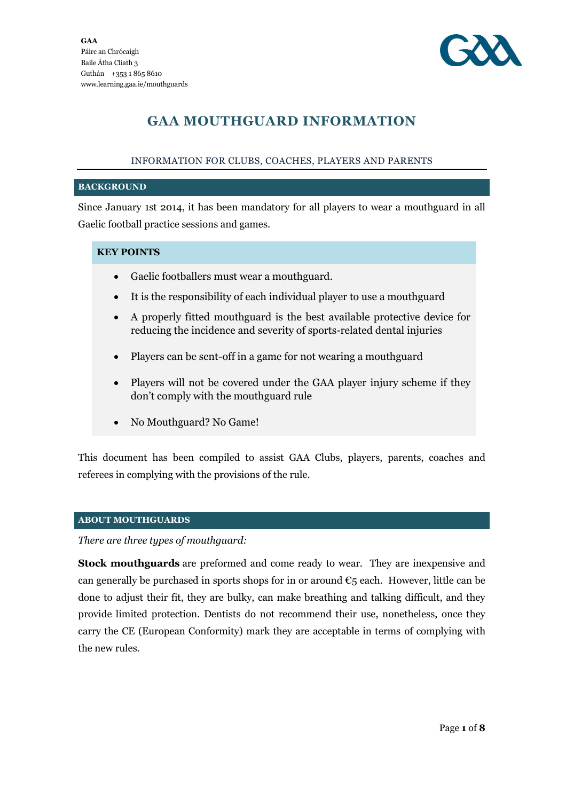

# **GAA MOUTHGUARD INFORMATION**

### INFORMATION FOR CLUBS, COACHES, PLAYERS AND PARENTS

#### **BACKGROUND**

Since January 1st 2014, it has been mandatory for all players to wear a mouthguard in all Gaelic football practice sessions and games.

### **KEY POINTS**

- Gaelic footballers must wear a mouthguard.
- It is the responsibility of each individual player to use a mouthguard
- A properly fitted mouthguard is the best available protective device for reducing the incidence and severity of sports-related dental injuries
- Players can be sent-off in a game for not wearing a mouthguard
- Players will not be covered under the GAA player injury scheme if they don't comply with the mouthguard rule
- No Mouthguard? No Game!

This document has been compiled to assist GAA Clubs, players, parents, coaches and referees in complying with the provisions of the rule.

### **ABOUT MOUTHGUARDS**

### *There are three types of mouthguard:*

**Stock mouthguards** are preformed and come ready to wear. They are inexpensive and can generally be purchased in sports shops for in or around  $\epsilon_5$  each. However, little can be done to adjust their fit, they are bulky, can make breathing and talking difficult, and they provide limited protection. Dentists do not recommend their use, nonetheless, once they carry the CE (European Conformity) mark they are acceptable in terms of complying with the new rules.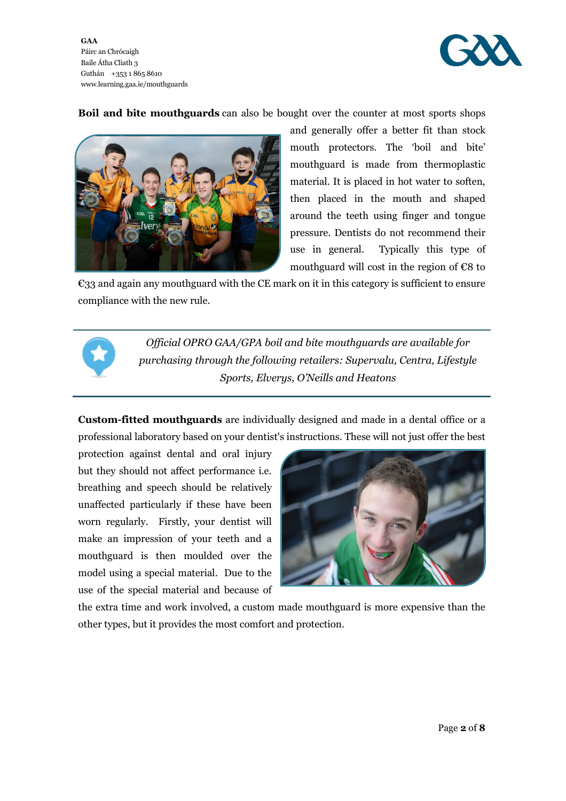**GAA** Páirc an Chrócaigh Baile Átha Cliath 3 Guthán +353 1 865 8610 www.learning.gaa.ie/mouthguards



**Boil and bite mouthguards** can also be bought over the counter at most sports shops



and generally offer a better fit than stock mouth protectors. The 'boil and bite' mouthguard is made from thermoplastic material. It is placed in hot water to soften, then placed in the mouth and shaped around the teeth using finger and tongue pressure. Dentists do not recommend their use in general. Typically this type of mouthguard will cost in the region of  $\epsilon$ 8 to

€33 and again any mouthguard with the CE mark on it in this category is sufficient to ensure compliance with the new rule.



*Official OPRO GAA/GPA boil and bite mouthguards are available for purchasing through the following retailers: Supervalu, Centra, Lifestyle Sports, Elverys, O'Neills and Heatons*

**Custom-fitted mouthguards** are individually designed and made in a dental office or a professional laboratory based on your dentist's instructions. These will not just offer the best

protection against dental and oral injury but they should not affect performance i.e. breathing and speech should be relatively unaffected particularly if these have been worn regularly. Firstly, your dentist will make an impression of your teeth and a mouthguard is then moulded over the model using a special material. Due to the use of the special material and because of



the extra time and work involved, a custom made mouthguard is more expensive than the other types, but it provides the most comfort and protection.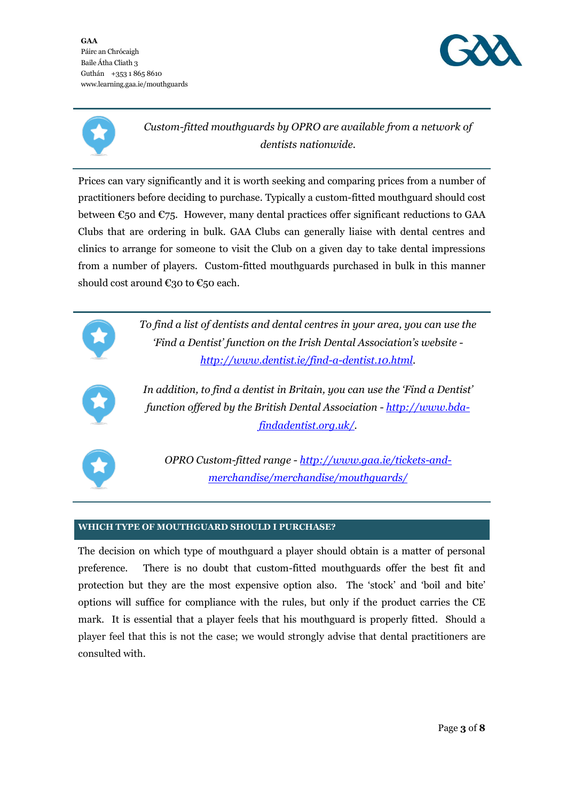**GAA** Páirc an Chrócaigh Baile Átha Cliath 3 Guthán +353 1 865 8610 www.learning.gaa.ie/mouthguards





*Custom-fitted mouthguards by OPRO are available from a network of dentists nationwide.*

Prices can vary significantly and it is worth seeking and comparing prices from a number of practitioners before deciding to purchase. Typically a custom-fitted mouthguard should cost between  $\epsilon_{50}$  and  $\epsilon_{75}$ . However, many dental practices offer significant reductions to GAA Clubs that are ordering in bulk. GAA Clubs can generally liaise with dental centres and clinics to arrange for someone to visit the Club on a given day to take dental impressions from a number of players. Custom-fitted mouthguards purchased in bulk in this manner should cost around  $\epsilon$ 30 to  $\epsilon$ 50 each.





*In addition, to find a dentist in Britain, you can use the 'Find a Dentist' function offered by the British Dental Association - [http://www.bda](http://www.bda-findadentist.org.uk/)[findadentist.org.uk/.](http://www.bda-findadentist.org.uk/)*



*OPRO Custom-fitted range - [http://www.gaa.ie/tickets-and](http://www.gaa.ie/tickets-and-merchandise/merchandise/mouthguards/)[merchandise/merchandise/mouthguards/](http://www.gaa.ie/tickets-and-merchandise/merchandise/mouthguards/)*

# **WHICH TYPE OF MOUTHGUARD SHOULD I PURCHASE?**

The decision on which type of mouthguard a player should obtain is a matter of personal preference. There is no doubt that custom-fitted mouthguards offer the best fit and protection but they are the most expensive option also. The 'stock' and 'boil and bite' options will suffice for compliance with the rules, but only if the product carries the CE mark. It is essential that a player feels that his mouthguard is properly fitted. Should a player feel that this is not the case; we would strongly advise that dental practitioners are consulted with.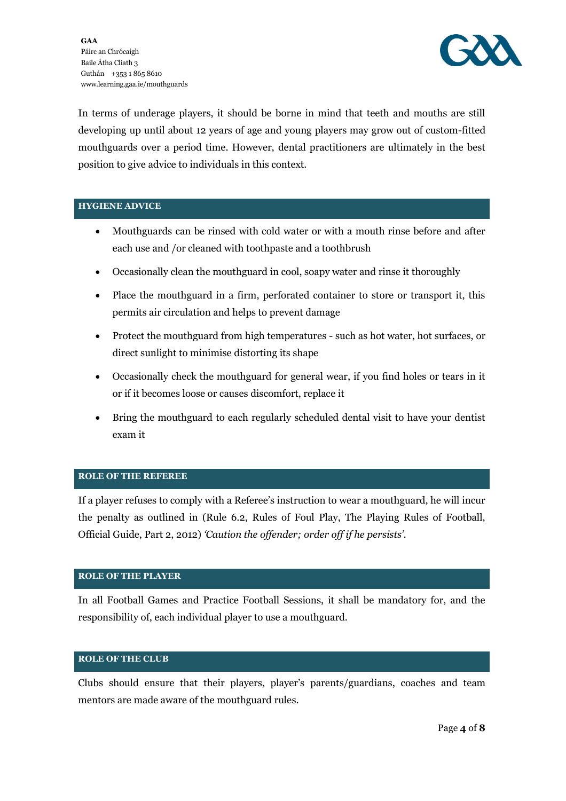

In terms of underage players, it should be borne in mind that teeth and mouths are still developing up until about 12 years of age and young players may grow out of custom-fitted mouthguards over a period time. However, dental practitioners are ultimately in the best position to give advice to individuals in this context.

### **HYGIENE ADVICE**

- Mouthguards can be rinsed with cold water or with a mouth rinse before and after each use and /or cleaned with toothpaste and a toothbrush
- Occasionally clean the mouthguard in cool, soapy water and rinse it thoroughly
- Place the mouthguard in a firm, perforated container to store or transport it, this permits air circulation and helps to prevent damage
- Protect the mouthguard from high temperatures such as hot water, hot surfaces, or direct sunlight to minimise distorting its shape
- Occasionally check the mouthguard for general wear, if you find holes or tears in it or if it becomes loose or causes discomfort, replace it
- Bring the mouthguard to each regularly scheduled dental visit to have your dentist exam it

### **ROLE OF THE REFEREE**

If a player refuses to comply with a Referee's instruction to wear a mouthguard, he will incur the penalty as outlined in (Rule 6.2, Rules of Foul Play, The Playing Rules of Football, Official Guide, Part 2, 2012) *'Caution the offender; order off if he persists'.*

### **ROLE OF THE PLAYER**

In all Football Games and Practice Football Sessions, it shall be mandatory for, and the responsibility of, each individual player to use a mouthguard.

### **ROLE OF THE CLUB**

Clubs should ensure that their players, player's parents/guardians, coaches and team mentors are made aware of the mouthguard rules.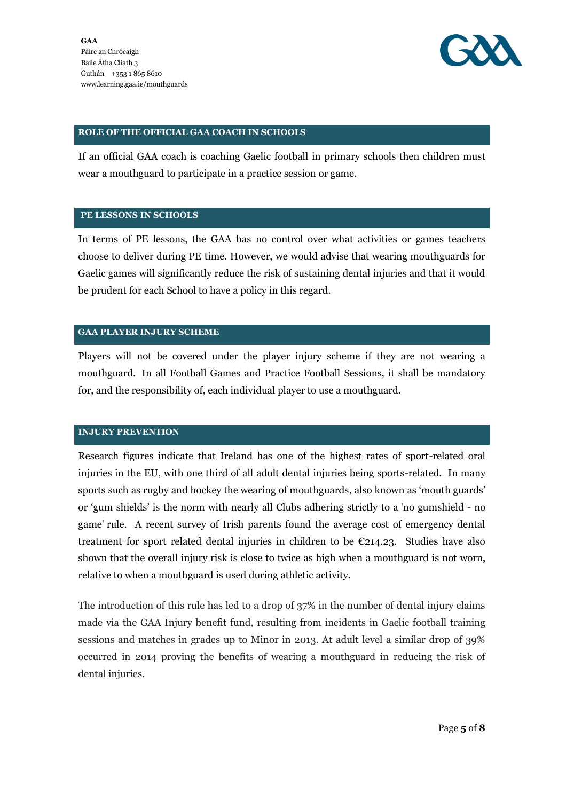

### **ROLE OF THE OFFICIAL GAA COACH IN SCHOOLS**

If an official GAA coach is coaching Gaelic football in primary schools then children must wear a mouthguard to participate in a practice session or game.

### **PE LESSONS IN SCHOOLS**

In terms of PE lessons, the GAA has no control over what activities or games teachers choose to deliver during PE time. However, we would advise that wearing mouthguards for Gaelic games will significantly reduce the risk of sustaining dental injuries and that it would be prudent for each School to have a policy in this regard.

#### **GAA PLAYER INJURY SCHEME**

Players will not be covered under the player injury scheme if they are not wearing a mouthguard. In all Football Games and Practice Football Sessions, it shall be mandatory for, and the responsibility of, each individual player to use a mouthguard.

#### **INJURY PREVENTION**

Research figures indicate that Ireland has one of the highest rates of sport-related oral injuries in the EU, with one third of all adult dental injuries being sports-related. In many sports such as rugby and hockey the wearing of mouthguards, also known as 'mouth guards' or 'gum shields' is the norm with nearly all Clubs adhering strictly to a 'no gumshield - no game' rule. A recent survey of Irish parents found the average cost of emergency dental treatment for sport related dental injuries in children to be  $\epsilon$ 214.23. Studies have also shown that the overall injury risk is close to twice as high when a mouthguard is not worn, relative to when a mouthguard is used during athletic activity.

The introduction of this rule has led to a drop of 37% in the number of dental injury claims made via the GAA Injury benefit fund, resulting from incidents in Gaelic football training sessions and matches in grades up to Minor in 2013. At adult level a similar drop of 39% occurred in 2014 proving the benefits of wearing a mouthguard in reducing the risk of dental injuries.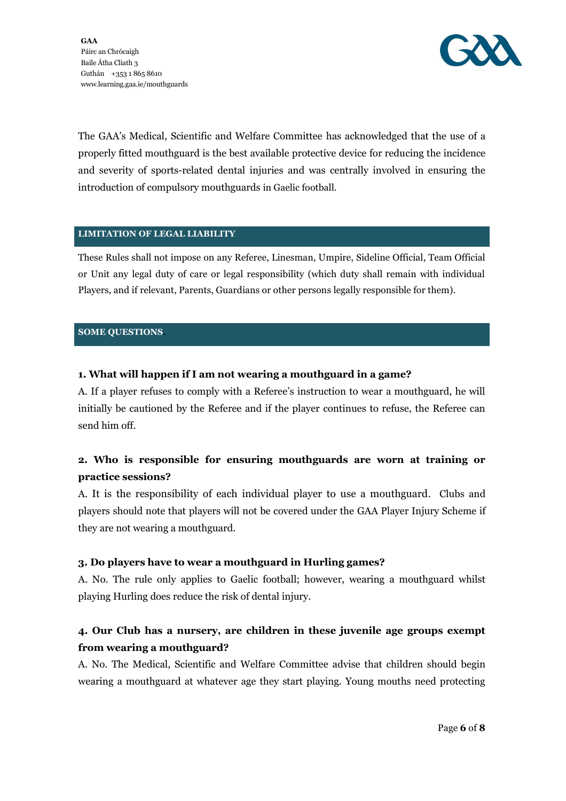

The GAA's Medical, Scientific and Welfare Committee has acknowledged that the use of a properly fitted mouthguard is the best available protective device for reducing the incidence and severity of sports-related dental injuries and was centrally involved in ensuring the introduction of compulsory mouthguards in Gaelic football.

### **LIMITATION OF LEGAL LIABILITY**

These Rules shall not impose on any Referee, Linesman, Umpire, Sideline Official, Team Official or Unit any legal duty of care or legal responsibility (which duty shall remain with individual Players, and if relevant, Parents, Guardians or other persons legally responsible for them).

#### **SOME QUESTIONS**.

### **1. What will happen if I am not wearing a mouthguard in a game?**

A. If a player refuses to comply with a Referee's instruction to wear a mouthguard, he will initially be cautioned by the Referee and if the player continues to refuse, the Referee can send him off.

# **2. Who is responsible for ensuring mouthguards are worn at training or practice sessions?**

A. It is the responsibility of each individual player to use a mouthguard. Clubs and players should note that players will not be covered under the GAA Player Injury Scheme if they are not wearing a mouthguard.

### **3. Do players have to wear a mouthguard in Hurling games?**

A. No. The rule only applies to Gaelic football; however, wearing a mouthguard whilst playing Hurling does reduce the risk of dental injury.

# **4. Our Club has a nursery, are children in these juvenile age groups exempt from wearing a mouthguard?**

A. No. The Medical, Scientific and Welfare Committee advise that children should begin wearing a mouthguard at whatever age they start playing. Young mouths need protecting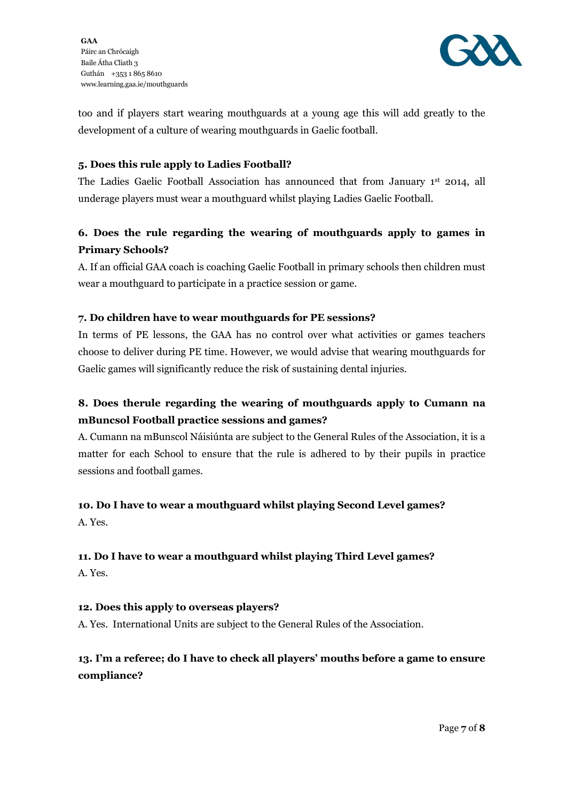

too and if players start wearing mouthguards at a young age this will add greatly to the development of a culture of wearing mouthguards in Gaelic football.

### **5. Does this rule apply to Ladies Football?**

The Ladies Gaelic Football Association has announced that from January 1st 2014, all underage players must wear a mouthguard whilst playing Ladies Gaelic Football.

# **6. Does the rule regarding the wearing of mouthguards apply to games in Primary Schools?**

A. If an official GAA coach is coaching Gaelic Football in primary schools then children must wear a mouthguard to participate in a practice session or game.

# **7. Do children have to wear mouthguards for PE sessions?**

In terms of PE lessons, the GAA has no control over what activities or games teachers choose to deliver during PE time. However, we would advise that wearing mouthguards for Gaelic games will significantly reduce the risk of sustaining dental injuries.

# **8. Does therule regarding the wearing of mouthguards apply to Cumann na mBuncsol Football practice sessions and games?**

A. Cumann na mBunscol Náisiúnta are subject to the General Rules of the Association, it is a matter for each School to ensure that the rule is adhered to by their pupils in practice sessions and football games.

# **10. Do I have to wear a mouthguard whilst playing Second Level games?**

# A. Yes.

# **11. Do I have to wear a mouthguard whilst playing Third Level games?**

A. Yes.

# **12. Does this apply to overseas players?**

A. Yes. International Units are subject to the General Rules of the Association.

# **13. I'm a referee; do I have to check all players' mouths before a game to ensure compliance?**